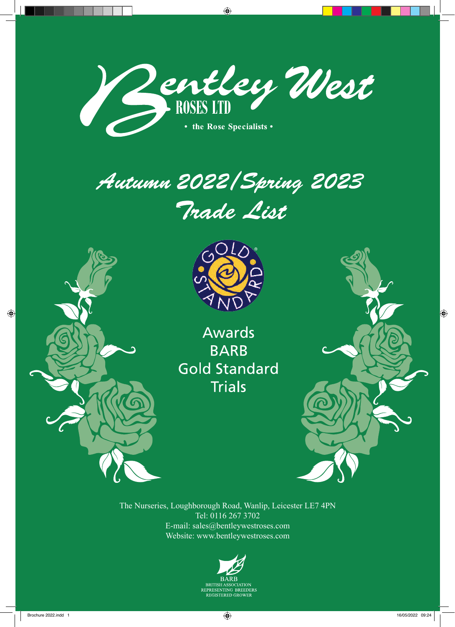





 $\bigcirc$ 



**Awards BARB Gold Standard Trials** 



The Nurseries, Loughborough Road, Wanlip, Leicester LE7 4PN Tel: 0116 267 3702 E-mail: sales@bentleywestroses.com Website: www.bentleywestroses.com

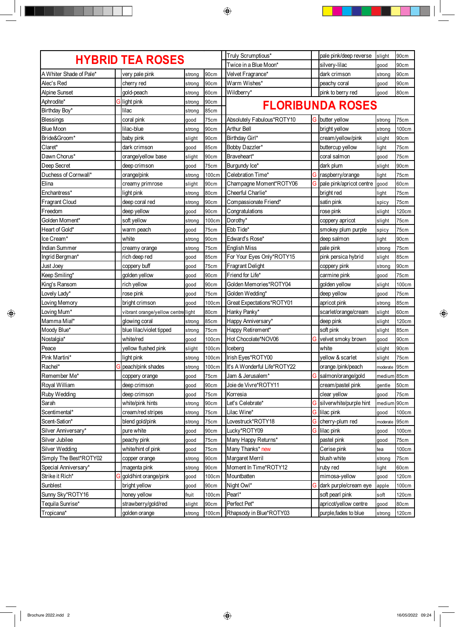| <b>HYBRID TEA ROSES</b> |  |                                    |        |             | Truly Scrumptious*           |    | pale pink/deep reverse   | slight   | 90cm  |
|-------------------------|--|------------------------------------|--------|-------------|------------------------------|----|--------------------------|----------|-------|
|                         |  |                                    |        |             | Twice in a Blue Moon*        |    | silvery-lilac            | good     | 90cm  |
| A Whiter Shade of Pale* |  | very pale pink                     | strong | 90cm        | Velvet Fragrance*            |    | dark crimson             | strong   | 90cm  |
| Alec's Red              |  | cherry red                         | strong | 90cm        | Warm Wishes*                 |    | peachy coral             | good     | 90cm  |
| <b>Alpine Sunset</b>    |  | gold-peach                         | strong | 60cm        | Wildberry*                   |    | pink to berry red        | good     | 80cm  |
| Aphrodite*              |  | Glight pink                        | strong | 90cm        | <b>FLORIBUNDA ROSES</b>      |    |                          |          |       |
| Birthday Boy*           |  | lilac                              | strong | <b>85cm</b> |                              |    |                          |          |       |
| Blessings               |  | coral pink                         | good   | 75cm        | Absolutely Fabulous*ROTY10   |    | <b>G</b> butter yellow   | strong   | 75cm  |
| <b>Blue Moon</b>        |  | lilac-blue                         | strong | 90cm        | Arthur Bell                  |    | bright yellow            | strong   | 100cm |
| Bride&Groom*            |  | baby pink                          | slight | 90cm        | Birthday Girl*               |    | cream/yellow/pink        | slight   | 90cm  |
| Claret*                 |  | dark crimson                       | good   | 85cm        | Bobby Dazzler*               |    | buttercup yellow         | light    | 75cm  |
| Dawn Chorus*            |  | orange/yellow base                 | slight | 90cm        | Braveheart*                  |    | coral salmon             | good     | 75cm  |
| Deep Secret             |  | deep crimson                       | good   | 75cm        | Burgundy Ice*                |    | dark plum                | slight   | 90cm  |
| Duchess of Cornwall*    |  | orange/pink                        | strong | 100cm       | Celebration Time*            | G  | raspberry/orange         | light    | 75cm  |
| Elina                   |  | creamy primrose                    | slight | 90cm        | Champagne Moment*ROTY06      | G  | pale pink/apricot centre | good     | 60cm  |
| Enchantress*            |  | light pink                         | strong | 80cm        | Cheerful Charlie*            |    | bright red               | light    | 75cm  |
| <b>Fragrant Cloud</b>   |  | deep coral red                     | strong | 90cm        | Compassionate Friend*        |    | satin pink               | spicy    | 75cm  |
| Freedom                 |  | deep yellow                        | good   | 90cm        | Congratulations              |    | rose pink                | slight   | 120cm |
| Golden Moment*          |  | soft yellow                        | strong | 100cm       | Dorothy*                     |    | coppery apricot          | slight   | 75cm  |
| Heart of Gold*          |  | warm peach                         | good   | 75cm        | Ebb Tide*                    |    | smokey plum purple       | spicy    | 75cm  |
| Ice Cream*              |  | white                              | strong | 90cm        | Edward's Rose*               |    | deep salmon              | light    | 90cm  |
| <b>Indian Summer</b>    |  | creamy orange                      | strong | 75cm        | <b>English Miss</b>          |    | pale pink                | strong   | 75cm  |
| Ingrid Bergman*         |  | rich deep red                      | good   | 85cm        | For Your Eyes Only*ROTY15    |    | pink persica hybrid      | slight   | 85cm  |
| Just Joey               |  | coppery buff                       | good   | 75cm        | <b>Fragrant Delight</b>      |    | coppery pink             | strong   | 90cm  |
| Keep Smiling*           |  | golden yellow                      | good   | 90cm        | Friend for Life*             |    | carmine pink             | good     | 75cm  |
| King's Ransom           |  | rich yellow                        | good   | 90cm        | Golden Memories*ROTY04       |    | golden yellow            | slight   | 100cm |
| Lovely Lady*            |  | rose pink                          | good   | 75cm        | Golden Wedding*              |    | deep yellow              | good     | 75cm  |
| Loving Memory           |  | bright crimson                     | good   | 100cm       | Great Expectations*ROTY01    |    | apricot pink             | strong   | 85cm  |
| Loving Mum*             |  | vibrant orange/yellow centre light |        | 80cm        | Hanky Panky*                 |    | scarlet/orange/cream     | slight   | 60cm  |
| Mamma Mia!*             |  | glowing coral                      | strong | 85cm        | Happy Anniversary*           |    | deep pink                | slight   | 120cm |
| Moody Blue*             |  | blue lilac/violet tipped           | strong | 75cm        | Happy Retirement*            |    | soft pink                | slight   | 85cm  |
| Nostalgia*              |  | white/red                          | good   | 100cm       | Hot Chocolate*NOV06          |    | G velvet smoky brown     | good     | 90cm  |
| Peace                   |  | yellow flushed pink                | slight | 100cm       | Iceberg                      |    | white                    | slight   | 90cm  |
| Pink Martini*           |  | light pink                         | strong | 100cm       | Irish Eyes*ROTY00            |    | yellow & scarlet         | slight   | 75cm  |
| Rachel*                 |  | peach/pink shades                  | strong | 100cm       | It's A Wonderful Life*ROTY22 |    | orange/pink/peach        | moderate | 95cm  |
| Remember Me*            |  | coppery orange                     | good   | 75cm        | Jam & Jerusalem*             | G  | salmon/orange/gold       | medium   | 85cm  |
| Royal William           |  | deep crimson                       | good   | 90cm        | Joie de Vivre*ROTY11         |    | cream/pastel pink        | gentle   | 50cm  |
| Ruby Wedding            |  | deep crimson                       | good   | 75cm        | Korresia                     |    | clear yellow             | good     | 75cm  |
| Sarah                   |  | white/pink hints                   | strong | 90cm        | Let's Celebrate*             | G. | silverwhite/purple hint  | medium   | 90cm  |
| Scentimental*           |  | cream/red stripes                  | strong | 75cm        | Lilac Wine*                  | G  | lilac pink               | good     | 100cm |
| Scent-Sation*           |  | blend gold/pink                    | strong | 75cm        | Lovestruck*ROTY18            |    | G cherry-plum red        | moderate | 95cm  |
| Silver Anniversary*     |  | pure white                         | good   | 90cm        | Lucky*ROTY09                 | G  | lilac pink               | good     | 100cm |
| Silver Jubilee          |  | peachy pink                        | good   | 75cm        | Many Happy Returns*          |    | pastel pink              | good     | 75cm  |
| Silver Wedding          |  | white/hint of pink                 | good   | 75cm        | Many Thanks* new             |    | Cerise pink              | tea      | 100cm |
| Simply The Best*ROTY02  |  | copper orange                      | strong | 90cm        | Margaret Merril              |    | blush white              | strong   | 75cm  |
| Special Anniversary*    |  | magenta pink                       | strong | 90cm        | Moment In Time*ROTY12        |    | ruby red                 | light    | 60cm  |
| Strike it Rich*         |  | gold/hint orange/pink              | good   | 100cm       | Mountbatten                  |    | mimosa-yellow            | good     | 120cm |
| Sunblest                |  | bright yellow                      | good   | 90cm        | Night Owl*                   | G  | dark purple/cream eye    | apple    | 100cm |
| Sunny Sky*ROTY16        |  | honey yellow                       | fruit  | 100cm       | Pearl*                       |    | soft pearl pink          | soft     | 120cm |
| Tequila Sunrise*        |  | strawberry/gold/red                | slight | 90cm        | Perfect Pet*                 |    | apricot/yellow centre    | good     | 80cm  |
| Tropicana*              |  | golden orange                      | strong | 100cm       | Rhapsody in Blue*ROTY03      |    | purple,fades to blue     | strong   | 120cm |

 $\equiv$  ( ) is the second second second second second second second second second second second second second second second second second second second second second second second second second second second second second se

 $\blacksquare$ 

 $\bigoplus$ 

<u>. Kata</u>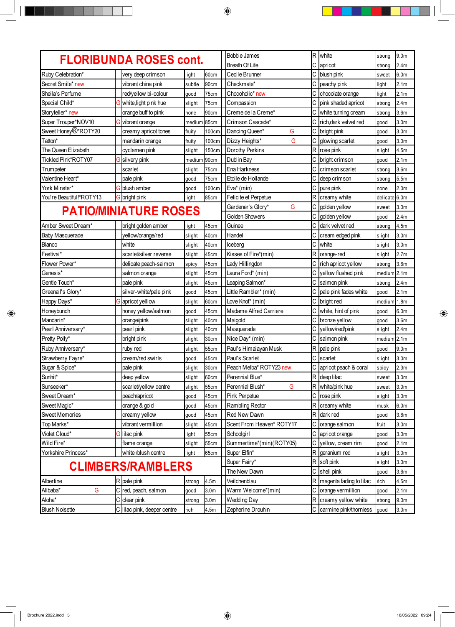|                                  |  |                                     |                |                          | <b>Bobbie James</b>          |    | R white                                          | strong         | 9.0 <sub>m</sub>         |
|----------------------------------|--|-------------------------------------|----------------|--------------------------|------------------------------|----|--------------------------------------------------|----------------|--------------------------|
|                                  |  | <b>FLORIBUNDA ROSES cont.</b>       |                |                          | <b>Breath Of Life</b>        | С  | apricot                                          | strong         | 2.4 <sub>m</sub>         |
| Ruby Celebration*                |  | very deep crimson                   | light          | 60cm                     | Cecile Brunner               | C  | blush pink                                       | sweet          | 6.0 <sub>m</sub>         |
| Secret Smile* new                |  | vibrant china pink                  | subtle         | 90cm                     | Checkmate*                   | C  | peachy pink                                      | light          | 2.1 <sub>m</sub>         |
| Sheila's Perfume                 |  | red/yellow bi-colour                | good           | 75cm                     | Chocoholic* new              | C  | chocolate orange                                 | light          | 2.1 <sub>m</sub>         |
| Special Child*                   |  | white, light pink hue               | slight         | 75cm                     | Compassion                   | С  | pink shaded apricot                              | strong         | 2.4 <sub>m</sub>         |
| Storyteller* new                 |  | orange buff to pink                 | none           | 90cm                     | Creme de la Creme*           |    | white turning cream                              | strong         | 3.6 <sub>m</sub>         |
| Super Trouper*NOV10              |  | vibrant orange                      | medium         | 85cm                     | Crimson Cascade*             | C  | rich, dark velvet red                            | good           | 3.0 <sub>m</sub>         |
| Sweet Honey <sup>®</sup> *ROTY20 |  | creamy apricot tones                | fruity         | 100cm                    | Dancing Queen*<br>G          | C  | bright pink                                      | good           | 3.0 <sub>m</sub>         |
| Tatton*                          |  | mandarin orange                     | fruity         | 100cm                    | G<br>Dizzy Heights*          | C  | glowing scarlet                                  | good           | 3.0 <sub>m</sub>         |
| The Queen Elizabeth              |  | cyclamen pink                       | slight         | <b>150cm</b>             | Dorothy Perkins              | R  | rose pink                                        | slight         | 4.5m                     |
| Tickled Pink*ROTY07              |  | silvery pink                        | medium         | 90cm                     | Dublin Bay                   | C  | bright crimson                                   | good           | 2.1 <sub>m</sub>         |
| Trumpeter                        |  | scarlet                             | slight         | 75cm                     | Ena Harkness                 | С  | crimson scarlet                                  | strong         | 3.6 <sub>m</sub>         |
| Valentine Heart*                 |  | pale pink                           | good           | 75cm                     | Etoile de Hollande           | С  | deep crimson                                     | strong         | 5.5m                     |
| York Minster*                    |  | blush amber                         | good           | 100cm                    | Eva* (min)                   | C  | pure pink                                        | none           | 2.0 <sub>m</sub>         |
| You're Beautiful!*ROTY13         |  | G bright pink                       | light          | 85cm                     | Felicite et Perpetue         |    | R creamy white                                   | delicate 6.0m  |                          |
| <b>PATIO/MINIATURE ROSES</b>     |  |                                     |                |                          | G<br>Gardener's Glory*       | С  | golden yellow                                    | sweet          | 3.0 <sub>m</sub>         |
|                                  |  |                                     |                |                          | <b>Golden Showers</b>        |    | golden yellow                                    | good           | 2.4m                     |
| Amber Sweet Dream*               |  | bright golden amber                 | light          | 45cm                     | Guinee                       | ІС | dark velvet red                                  | strong         | 4.5m                     |
| Baby Masquerade                  |  | yellow/orange/red                   | slight         | 40cm                     | Handel                       | C  | cream edged pink                                 | slight         | 3.0 <sub>m</sub>         |
| Bianco                           |  | white                               | slight         | 40cm                     | Iceberg                      | C  | white                                            | slight         | 3.0 <sub>m</sub>         |
| Festival*                        |  | scarlet/silver reverse              | slight         | 45cm                     | Kisses of Fire*(min)         |    | R orange-red                                     | slight         | 2.7 <sub>m</sub>         |
| Flower Power*                    |  | delicate peach-salmon               | spicy          | 45cm                     | Lady Hillingdon              | C  | rich apricot yellow                              | strong         | 3.6 <sub>m</sub>         |
| Genesis*                         |  | salmon orange                       | slight         | 45cm                     | Laura Ford* (min)            | C  | yellow flushed pink                              | medium 2.1m    |                          |
| Gentle Touch*                    |  | pale pink                           | slight         | 45cm                     | Leaping Salmon*              | С  | salmon pink                                      | strong         | 2.4 <sub>m</sub>         |
| Greenall's Glory*                |  | silver-white/pale pink              | good           | 45cm                     | Little Rambler* (min)        |    | pale pink fades white                            | good           | 2.1 <sub>m</sub>         |
| Happy Days*                      |  | apricot yelllow                     | slight         | 60cm                     | Love Knot* (min)             | C  | bright red                                       | medium         | 1.8 <sub>m</sub>         |
| Honeybunch                       |  | honey yellow/salmon                 | good           | 45cm                     | Madame Alfred Carriere       | С  | white, hint of pink                              | good           | 6.0 <sub>m</sub>         |
| Mandarin*                        |  | orange/pink                         | slight         | 40cm                     | Maigold                      | C  | bronze yellow                                    | good           | 3.6 <sub>m</sub>         |
| Pearl Anniversary*               |  | pearl pink                          | slight         | 40cm                     | Masquerade                   | С  | yellow/red/pink                                  | slight         | 2.4m                     |
| Pretty Polly*                    |  | bright pink                         | slight         | 30cm                     | Nice Day* (min)              |    | C salmon pink                                    | medium         | 2.1 <sub>m</sub>         |
| Ruby Anniversary*                |  | ruby red                            | slight         | 55cm                     | Paul's Himalayan Musk        |    | R pale pink                                      | good           | 9.0 <sub>m</sub>         |
| Strawberry Fayre*                |  | cream/red swirls                    | good           | 45cm                     | Paul's Scarlet               |    | C scarlet                                        | slight         | 3.0 <sub>m</sub>         |
| Sugar & Spice*                   |  | pale pink                           | slight         | 30cm                     | Peach Melba* ROTY23 new      |    | C apricot peach & coral                          | spicy          | 2.3m                     |
| Sunhit*                          |  | deep yellow                         | slight         | 60cm                     | Perennial Blue*              |    | R deep lilac                                     | sweet          | 3.0 <sub>m</sub>         |
| Sunseeker*                       |  | scarlet/yellow centre               | slight         | 55cm                     | G<br>Perennial Blush*        |    | R white/pink hue                                 | sweet          | 3.0 <sub>m</sub>         |
| Sweet Dream*                     |  | peach/apricot                       | good           | 45cm                     | Pink Perpetue                | C  | rose pink                                        | slight         | 3.0 <sub>m</sub>         |
| Sweet Magic*                     |  | orange & gold                       | good           | 45cm                     | <b>Rambling Rector</b>       |    | R creamy white                                   | musk           | 6.0 <sub>m</sub>         |
| <b>Sweet Memories</b>            |  | creamy yellow                       | good           | 45cm                     | Red New Dawn                 |    | R dark red                                       | good           | 3.6 <sub>m</sub>         |
| Top Marks*                       |  | vibrant vermillion                  | slight         | 45cm                     | Scent From Heaven* ROTY17    | С  | orange salmon                                    | fruit          | 3.0 <sub>m</sub>         |
| Violet Cloud*                    |  | lilac pink                          | light          | 55cm                     | Schoolgirl                   | C  | apricot orange                                   | good           | 3.0 <sub>m</sub>         |
| Wild Fire*                       |  | flame orange                        | slight         | <b>55cm</b>              | Summertime*(min)(ROTY05)     | C  | yellow, cream rim                                | good           | 2.1 <sub>m</sub>         |
| Yorkshire Princess*              |  | white /blush centre                 | light          | 65cm                     | Super Elfin*                 |    | R geranium red                                   | slight         | 3.0 <sub>m</sub>         |
|                                  |  | <b>CLIMBERS/RAMBLERS</b>            |                |                          | Super Fairy*                 |    | R soft pink                                      | slight         | 3.0m                     |
|                                  |  |                                     |                |                          | The New Dawn<br>Veilchenblau | C  | shell pink                                       | good           | 3.6 <sub>m</sub>         |
| Albertine<br>G<br>Alibaba*       |  | R pale pink<br>C red, peach, salmon | strong         | 4.5m<br>3.0 <sub>m</sub> | Warm Welcome*(min)           | С  | R   magenta fading to lilac<br>orange vermillion | rich           | 4.5m<br>2.1 <sub>m</sub> |
| Aloha*                           |  | C clear pink                        | good           | 3.0 <sub>m</sub>         | <b>Wedding Day</b>           |    | R creamy yellow white                            | good<br>strong | 9.0 <sub>m</sub>         |
| <b>Blush Noisette</b>            |  | C lilac pink, deeper centre         | strong<br>rich | 4.5m                     | Zepherine Drouhin            |    | C carmine pink/thornless                         | good           | 3.0 <sub>m</sub>         |
|                                  |  |                                     |                |                          |                              |    |                                                  |                |                          |

 $\bigoplus$